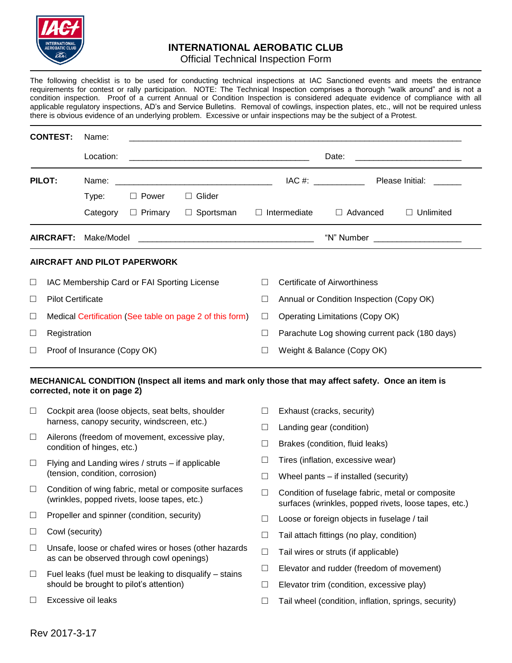

## **INTERNATIONAL AEROBATIC CLUB**

## Official Technical Inspection Form

The following checklist is to be used for conducting technical inspections at IAC Sanctioned events and meets the entrance requirements for contest or rally participation. NOTE: The Technical Inspection comprises a thorough "walk around" and is not a condition inspection. Proof of a current Annual or Condition Inspection is considered adequate evidence of compliance with all applicable regulatory inspections, AD's and Service Bulletins. Removal of cowlings, inspection plates, etc., will not be required unless there is obvious evidence of an underlying problem. Excessive or unfair inspections may be the subject of a Protest.

|         | <b>CONTEST:</b>                                                                                                                                        | Name:                                                                                                 |                                                   |                                                                                                     |                                                                                                           |                                                 |                                                   |                  |
|---------|--------------------------------------------------------------------------------------------------------------------------------------------------------|-------------------------------------------------------------------------------------------------------|---------------------------------------------------|-----------------------------------------------------------------------------------------------------|-----------------------------------------------------------------------------------------------------------|-------------------------------------------------|---------------------------------------------------|------------------|
|         |                                                                                                                                                        | Location:                                                                                             |                                                   |                                                                                                     |                                                                                                           |                                                 |                                                   |                  |
| PILOT:  |                                                                                                                                                        | Name:                                                                                                 |                                                   |                                                                                                     |                                                                                                           | IAC #: ________________ Please Initial: _______ |                                                   |                  |
|         |                                                                                                                                                        | Type:                                                                                                 | $\Box$ Power                                      | $\Box$ Glider                                                                                       |                                                                                                           |                                                 |                                                   |                  |
|         |                                                                                                                                                        | Category                                                                                              | □ Primary                                         | $\Box$ Sportsman                                                                                    |                                                                                                           | $\Box$ Intermediate                             | □ Advanced                                        | $\Box$ Unlimited |
|         | <b>AIRCRAFT:</b><br>Make/Model<br><u> 2000 - Jan James James Jan James James James James James James James James James James James James James Jam</u> |                                                                                                       |                                                   |                                                                                                     |                                                                                                           |                                                 |                                                   |                  |
|         |                                                                                                                                                        |                                                                                                       | AIRCRAFT AND PILOT PAPERWORK                      |                                                                                                     |                                                                                                           |                                                 |                                                   |                  |
| ⊔       | IAC Membership Card or FAI Sporting License                                                                                                            |                                                                                                       |                                                   |                                                                                                     |                                                                                                           | <b>Certificate of Airworthiness</b>             |                                                   |                  |
| $\Box$  | <b>Pilot Certificate</b>                                                                                                                               |                                                                                                       |                                                   |                                                                                                     | $\Box$                                                                                                    | Annual or Condition Inspection (Copy OK)        |                                                   |                  |
| $\Box$  | Medical Certification (See table on page 2 of this form)                                                                                               |                                                                                                       |                                                   |                                                                                                     | $\Box$                                                                                                    | <b>Operating Limitations (Copy OK)</b>          |                                                   |                  |
| $\Box$  | Registration                                                                                                                                           |                                                                                                       |                                                   |                                                                                                     | $\Box$                                                                                                    | Parachute Log showing current pack (180 days)   |                                                   |                  |
| ⊔       | Proof of Insurance (Copy OK)                                                                                                                           |                                                                                                       |                                                   |                                                                                                     |                                                                                                           | Weight & Balance (Copy OK)                      |                                                   |                  |
|         |                                                                                                                                                        | corrected, note it on page 2)                                                                         |                                                   | MECHANICAL CONDITION (Inspect all items and mark only those that may affect safety. Once an item is |                                                                                                           |                                                 |                                                   |                  |
| $\Box$  |                                                                                                                                                        |                                                                                                       | Cockpit area (loose objects, seat belts, shoulder |                                                                                                     | $\Box$                                                                                                    | Exhaust (cracks, security)                      |                                                   |                  |
|         |                                                                                                                                                        | harness, canopy security, windscreen, etc.)                                                           |                                                   | ப                                                                                                   | Landing gear (condition)                                                                                  |                                                 |                                                   |                  |
| $\Box$  |                                                                                                                                                        | Ailerons (freedom of movement, excessive play,<br>condition of hinges, etc.)                          |                                                   | $\Box$                                                                                              | Brakes (condition, fluid leaks)                                                                           |                                                 |                                                   |                  |
| ⊔       |                                                                                                                                                        |                                                                                                       | Flying and Landing wires / struts - if applicable |                                                                                                     | ⊔                                                                                                         | Tires (inflation, excessive wear)               |                                                   |                  |
|         |                                                                                                                                                        | (tension, condition, corrosion)                                                                       |                                                   |                                                                                                     | $\Box$                                                                                                    | Wheel pants – if installed (security)           |                                                   |                  |
| $\Box$  |                                                                                                                                                        | Condition of wing fabric, metal or composite surfaces<br>(wrinkles, popped rivets, loose tapes, etc.) |                                                   | $\Box$                                                                                              | Condition of fuselage fabric, metal or composite<br>surfaces (wrinkles, popped rivets, loose tapes, etc.) |                                                 |                                                   |                  |
| $\Box$  |                                                                                                                                                        | Propeller and spinner (condition, security)                                                           |                                                   |                                                                                                     | $\Box$                                                                                                    | Loose or foreign objects in fuselage / tail     |                                                   |                  |
| $\Box$  |                                                                                                                                                        | Cowl (security)                                                                                       |                                                   |                                                                                                     | $\Box$                                                                                                    | Tail attach fittings (no play, condition)       |                                                   |                  |
| $\Box$  |                                                                                                                                                        | Unsafe, loose or chafed wires or hoses (other hazards<br>as can be observed through cowl openings)    |                                                   |                                                                                                     | $\Box$                                                                                                    | Tail wires or struts (if applicable)            |                                                   |                  |
| $\Box$  |                                                                                                                                                        | Fuel leaks (fuel must be leaking to disqualify – stains<br>should be brought to pilot's attention)    |                                                   | $\Box$                                                                                              | Elevator and rudder (freedom of movement)                                                                 |                                                 |                                                   |                  |
|         |                                                                                                                                                        |                                                                                                       |                                                   | $\Box$                                                                                              | Elevator trim (condition, excessive play)                                                                 |                                                 |                                                   |                  |
| $\perp$ |                                                                                                                                                        | Excessive oil leaks                                                                                   |                                                   |                                                                                                     | П                                                                                                         |                                                 | Tail wheel (condition inflation springs security) |                  |

□ Tail wheel (condition, inflation, springs, security)